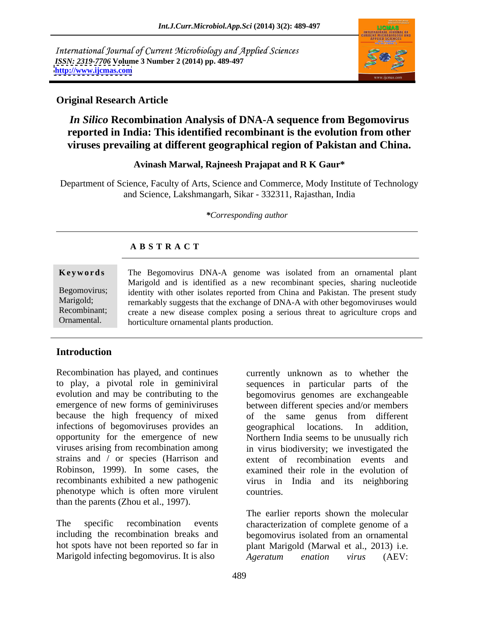International Journal of Current Microbiology and Applied Sciences *ISSN: 2319-7706* **Volume 3 Number 2 (2014) pp. 489-497 <http://www.ijcmas.com>**



### **Original Research Article**

# *In Silico* **Recombination Analysis of DNA-A sequence from Begomovirus reported in India: This identified recombinant is the evolution from other viruses prevailing at different geographical region of Pakistan and China.**

#### **Avinash Marwal, Rajneesh Prajapat and R K Gaur\***

Department of Science, Faculty of Arts, Science and Commerce, Mody Institute of Technology and Science, Lakshmangarh, Sikar - 332311, Rajasthan, India

*\*Corresponding author* 

#### **A B S T R A C T**

|             | Keywords The Begomovirus DNA-A genome was isolated from an ornamental plant                                                                                                           |  |
|-------------|---------------------------------------------------------------------------------------------------------------------------------------------------------------------------------------|--|
|             | Marigold and is identified as a new recombinant species, sharing nucleotide<br>Begomovirus; identity with other isolates reported from China and Pakistan. The present study          |  |
|             | Marigold; remarkably suggests that the exchange of DNA-A with other begomoviruses would<br>Recombinant; create a new disease complex posing a serious threat to agriculture crops and |  |
| Ornamental. | <b>Example 1</b> horticulture ornamental plants production.                                                                                                                           |  |

#### **Introduction**

Recombination has played, and continues currently unknown as to whether the because the high frequency of mixed of the same genus from different infections of begomoviruses provides an experience provides an experience of addition. strains and / or species (Harrison and Robinson, 1999). In some cases, the recombinants exhibited a new pathogenic phenotype which is often more virulent than the parents (Zhou et al., 1997).

The specific recombination events characterization of complete genome of a including the recombination breaks and begomovirus isolated from an ornamental hot spots have not been reported so far in plant Marigold (Marwal et al., 2013) i.e. Marigold infecting begomovirus. It is also  $\overline{A}$  *geratum* enation virus (AEV:

to play, a pivotal role in geminiviral sequences in particular parts of the evolution and may be contributing to the begomovirus genomes are exchangeable emergence of new forms of geminiviruses between different species and/or members opportunity for the emergence of new Northern India seems to be unusually rich viruses arising from recombination among in virus biodiversity; we investigated the of the same genus from different geographical locations. In addition, extent of recombination events and examined their role in the evolution of virus in India and its neighboring countries.

> The earlier reports shown the molecular *Ageratum enation virus* (AEV: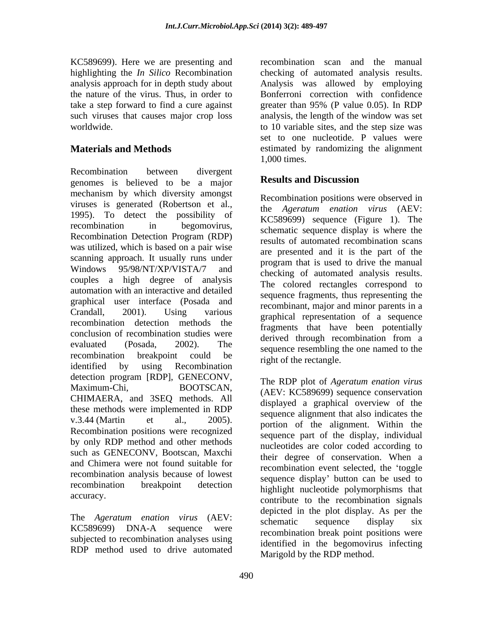KC589699). Here we are presenting and take a step forward to find a cure against greater than 95% (P value 0.05). In RDP

Recombination between divergent genomes is believed to be a major **Results and Discussion** mechanism by which diversity amongst viruses is generated (Robertson et al., 1995). To detect the possibility of recombination in begomovirus, schematic sequence display is where the Recombination Detection Program (RDP) was utilized, which is based on a pair wise scanning approach. It usually runs under Windows 95/98/NT/XP/VISTA/7 and couples a high degree of analysis automation with an interactive and detailed graphical user interface (Posada and Crandall, 2001). Using various graphical representation of a sequence recombination detection methods the conclusion of recombination studies were derived through recombination from a evaluated (Posada, 2002). The sequence resembling the one named to the recombination breakpoint could be right of the rectangle identified by using Recombination is the collection. detection program [RDP], GENECONV,<br>
Maximum-Chi, BOOTSCAN, (AEV: KC589699) sequence conservation<br>
CHIMAERA, and 3SEQ methods. All displayed a graphical overview of the these methods were implemented in RDP v.3.44 (Martin et al.,  $2005$ ). portion of the alignment. Within the  $P_{\text{ex}}$ Recombination positions were recognized by only RDP method and other methods such as GENECONV, Bootscan, Maxchi and Chimera were not found suitable for recombination analysis because of lowest recombination breakpoint detection highlight nucleotide polymorphisms that

The *Ageratum enation virus* (AEV:<br>KC589699) DNA-A sequence were acceptination has been positions were subjected to recombination analyses using RDP method used to drive automated

highlighting the *In Silico* Recombination checking of automated analysis results. analysis approach for in depth study about Analysis was allowed by employing the nature of the virus. Thus, in order to Bonferroni correction with confidence such viruses that causes major crop loss analysis, the length of the window was set worldwide. to 10 variable sites, and the step size was **Materials and Methods** estimated by randomizing the alignment recombination scan and the manual greater than 95% (P value 0.05). In RDP set to one nucleotide. P values were 1,000 times.

## **Results and Discussion**

Recombination positions were observed in the *Ageratum enation virus* (AEV: KC589699) sequence (Figure 1). The results of automated recombination scans are presented and it is the part of the program that is used to drive the manual checking of automated analysis results. The colored rectangles correspond to sequence fragments, thus representing the recombinant, major and minor parents in a fragments that have been potentially derived through recombination from a right of the rectangle.

accuracy.<br>
contribute to the recombination signals<br>
The *Ageratum enation virus* (AEV:<br>
compute sequence display six The RDP plot of *Ageratum enation virus* (AEV: KC589699) sequence conservation displayed a graphical overview of the sequence alignment that also indicates the sequence part of the display, individual nucleotides are color coded according to their degree of conservation. When a recombination event selected, the 'toggle sequence display' button can be used to contribute to the recombination signals depicted in the plot display. As per the schematic sequence display six recombination break point positions were identified in the begomovirus infecting Marigold by the RDP method.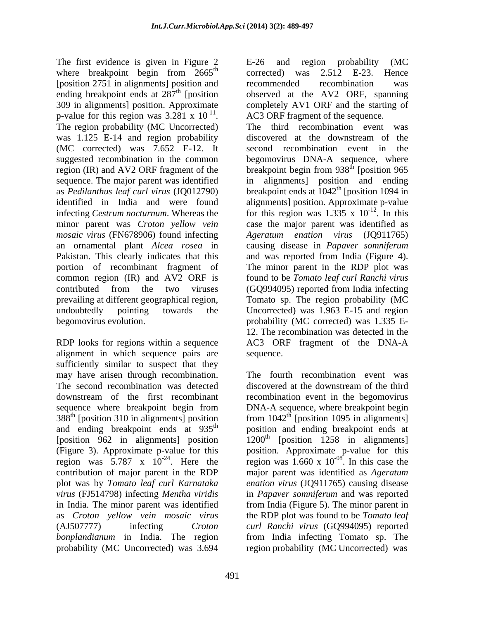The first evidence is given in Figure 2 E-26 and region probability (MC where breakpoint begin from  $2665^{\text{th}}$  corrected) was 2.512 E-23. Hence [position 2751 in alignments] position and recommended recombination was ending breakpoint ends at 287<sup>th</sup> [position] 309 in alignments] position. Approximate completely AV1 ORF and the starting of p-value for this region was  $3.281 \times 10^{-11}$ . p-value for this region was  $3.281 \times 10^{-11}$ . AC3 ORF fragment of the sequence.<br>The region probability (MC Uncorrected) The third recombination event was was 1.125 E-14 and region probability discovered at the downstream of the (MC corrected) was 7.652 E-12. It suggested recombination in the common begomovirus DNA-A sequence, where region (IR) and AV2 ORF fragment of the breakpoint begin from 938<sup>th</sup> [position 965 sequence. The major parent was identified in alignments] position and ending as *Pedilanthus leaf curl virus* (JQ012790) breakpoint ends at 1042th [position 1094 in identified in India and were found alignments] position. Approximate p-value infecting *Cestrum nocturnum*. Whereas the for this region was  $1.335 \times 10^{-12}$ . In this minor parent was *Croton yellow vein* case the major parent was identified as *mosaic virus* (FN678906) found infecting <br>*Ageratum enation virus* (JQ911765) an ornamental plant *Alcea rosea* in causing disease in *Papaver somniferum* Pakistan. This clearly indicates that this and was reported from India (Figure 4). portion of recombinant fragment of The minor parent in the RDP plot was common region (IR) and AV2 ORF is contributed from the two viruses (GQ994095) reported from India infecting prevailing at different geographical region, Tomato sp. The region probability (MC undoubtedly pointing towards the Uncorrected) was 1.963 E-15 and region begomovirus evolution. probability (MC corrected) was 1.335 E-

alignment in which sequence pairs are sequence. sufficiently similar to suspect that they may have arisen through recombination. The fourth recombination event was The second recombination was detected discovered at the downstream of the third downstream of the first recombinant recombination event in the begomovirus sequence where breakpoint begin from DNA-A sequence, where breakpoint begin  $388<sup>th</sup>$  [position 310 in alignments] position from  $1042<sup>th</sup>$  [position 1095 in alignments] and ending breakpoint ends at 935<sup>th</sup> position and ending breakpoint ends at [position 962 in alignments] position (Figure 3). Approximate p-value for this position. Approximate p-value for this region was  $5.787 \times 10^{-24}$ . Here the region was 1.660 x  $10^{-08}$ . In this case the contribution of major parent in the RDP major parent was identified as *Ageratum*  plot was by *Tomato leaf curl Karnataka enation virus* (JQ911765) causing disease *virus* (FJ514798) infecting *Mentha viridis* in *Papaver somniferum* and was reported in India. The minor parent was identified from India (Figure 5). The minor parent in as *Croton yellow vein mosaic virus* the RDP plot was found to be *Tomato leaf* (AJ507777) infecting *Croton curl Ranchi virus* (GQ994095) reported *bonplandianum* in India. The region probability (MC Uncorrected) was 3.694 region probability (MC Uncorrected) was

 $\frac{\text{th}}{\text{6}}$  corrected) was  $2.512 \text{ E } 22$  Hence <sup>th</sup> [position observed at the AV2 ORF, spanning <sup>-11</sup>. AC3 ORF fragment of the sequence. E-26 and region probability (MC corrected) was 2.512 E-23. Hence recommended recombination was

RDP looks for regions within a sequence AC3 ORF fragment of the DNA-A The third recombination event was discovered at the downstream of the second recombination event in  $th$  [position 965  $-12$  In this . In this *Ageratum enation virus* (JQ911765) found to be *Tomato leaf curl Ranchi virus* 12. The recombination was detected in the sequence.

> discovered at the downstream of the third DNA-A sequence, where breakpoint begin  $1200<sup>th</sup>$  [position 1258 in alignments]  $-08$  In this 2000 the . In this case the from India infecting Tomato sp. The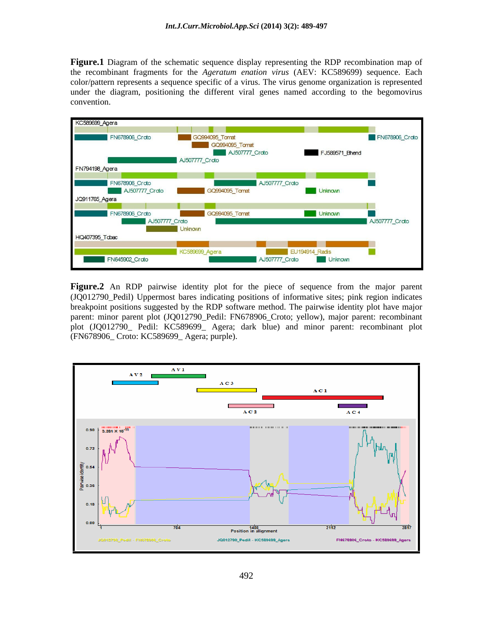**Figure.1** Diagram of the schematic sequence display representing the RDP recombination map of the recombinant fragments for the *Ageratum enation virus* (AEV: KC589699) sequence. Each color/pattern represents a sequence specific of a virus. The virus genome organization is represented under the diagram, positioning the different viral genes named according to the begomovirus convention.



**Figure.2** An RDP pairwise identity plot for the piece of sequence from the major parent (JQ012790\_Pedil) Uppermost bares indicating positions of informative sites; pink region indicates breakpoint positions suggested by the RDP software method. The pairwise identity plot have major parent: minor parent plot (JQ012790\_Pedil: FN678906\_Croto; yellow), major parent: recombinant plot (JQ012790\_ Pedil: KC589699\_ Agera; dark blue) and minor parent: recombinant plot (FN678906\_ Croto: KC589699\_ Agera; purple).

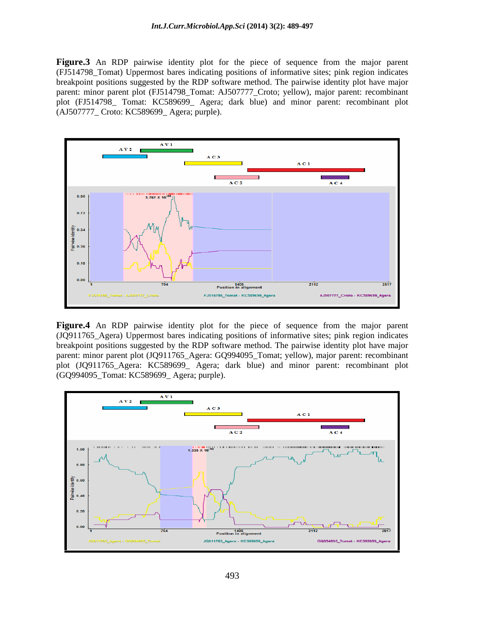**Figure.3** An RDP pairwise identity plot for the piece of sequence from the major parent (FJ514798\_Tomat) Uppermost bares indicating positions of informative sites; pink region indicates breakpoint positions suggested by the RDP software method. The pairwise identity plot have major parent: minor parent plot (FJ514798\_Tomat: AJ507777\_Croto; yellow), major parent: recombinant plot (FJ514798\_ Tomat: KC589699\_ Agera; dark blue) and minor parent: recombinant plot (AJ507777\_ Croto: KC589699\_ Agera; purple).



(JQ911765\_Agera) Uppermost bares indicating positions of informative sites; pink region indicates breakpoint positions suggested by the RDP software method. The pairwise identity plot have major parent: minor parent plot (JQ911765\_Agera: GQ994095\_Tomat; yellow), major parent: recombinant plot (JQ911765\_Agera: KC589699\_ Agera; dark blue) and minor parent: recombinant plot (GQ994095\_Tomat: KC589699\_ Agera; purple).

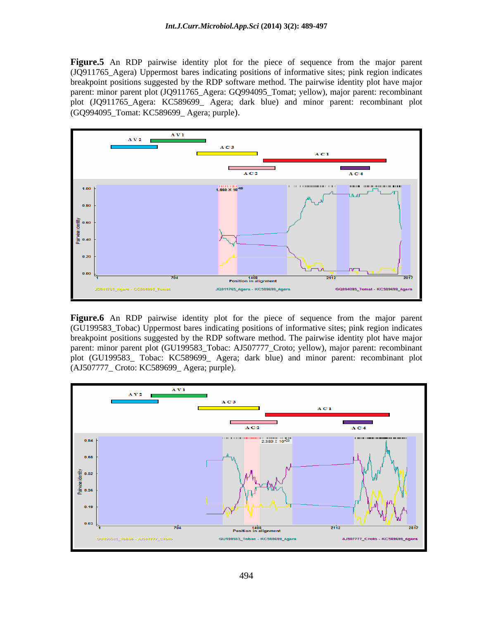**Figure.5** An RDP pairwise identity plot for the piece of sequence from the major parent (JQ911765\_Agera) Uppermost bares indicating positions of informative sites; pink region indicates breakpoint positions suggested by the RDP software method. The pairwise identity plot have major parent: minor parent plot (JQ911765\_Agera: GQ994095\_Tomat; yellow), major parent: recombinant plot (JQ911765\_Agera: KC589699\_ Agera; dark blue) and minor parent: recombinant plot (GQ994095\_Tomat: KC589699\_ Agera; purple).



(GU199583\_Tobac) Uppermost bares indicating positions of informative sites; pink region indicates breakpoint positions suggested by the RDP software method. The pairwise identity plot have major parent: minor parent plot (GU199583\_Tobac: AJ507777\_Croto; yellow), major parent: recombinant plot (GU199583\_ Tobac: KC589699\_ Agera; dark blue) and minor parent: recombinant plot (AJ507777\_ Croto: KC589699\_ Agera; purple).

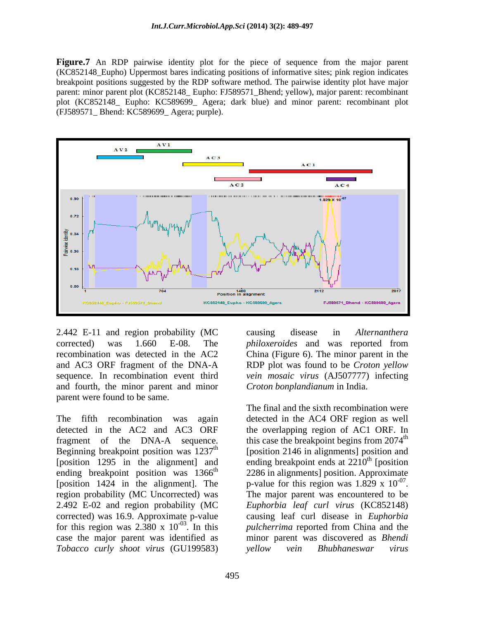**Figure.7** An RDP pairwise identity plot for the piece of sequence from the major parent (KC852148\_Eupho) Uppermost bares indicating positions of informative sites; pink region indicates breakpoint positions suggested by the RDP software method. The pairwise identity plot have major parent: minor parent plot (KC852148\_ Eupho: FJ589571\_Bhend; yellow), major parent: recombinant plot (KC852148\_ Eupho: KC589699\_ Agera; dark blue) and minor parent: recombinant plot (FJ589571\_ Bhend: KC589699\_ Agera; purple).



2.442 E-11 and region probability (MC causing disease in Alternanthera and fourth, the minor parent and minor parent were found to be same.

The fifth recombination was again detected in the AC4 ORF region as well detected in the AC2 and AC3 ORF the overlapping region of AC1 ORF. In fragment of the DNA-A sequence. this case the breakpoint begins from  $2074<sup>th</sup>$ Beginning breakpoint position was  $1237<sup>th</sup>$  [position 2146 in alignments] position and [position 1295 in the alignment] and ending breakpoint ends at 2210<sup>th</sup> [position ending breakpoint position was  $1366<sup>th</sup>$  2286 in alignments] position. Approximate [position 1424 in the alignment]. The p-value for this region was  $1.829 \times 10^{-0}$ . region probability (MC Uncorrected) was The major parent was encountered to be 2.492 E-02 and region probability (MC *Euphorbia leaf curl virus* (KC852148) corrected) was 16.9. Approximate p-value causing leaf curl disease in *Euphorbia*  for this region was  $2.\overline{380} \times 10^{-03}$ . In this case the major parent was identified as *Tobacco curly shoot virus* (GU199583)

corrected) was 1.660 E-08. The *philoxeroides* and was reported from recombination was detected in the AC2 China (Figure 6). The minor parent in the and AC3 ORF fragment of the DNA-A RDP plot was found to be *Croton yellow* sequence. In recombination event third *vein mosaic virus* (AJ507777) infecting causing disease in *Alternanthera philoxeroides* and was reported from *Croton bonplandianum* in India.

<sup>-03</sup>. In this *pulcherrima* reported from China and the The final and the sixth recombination were <sup>th</sup> [position -07 p-value for this region was  $1.829 \times 10^{-07}$ .<br>The major parent was encountered to be minor parent was discovered as *Bhendi yellow vein Bhubhaneswar virus*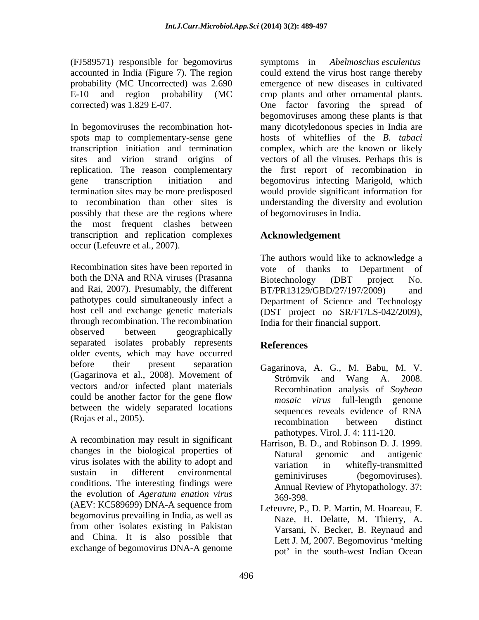(FJ589571) responsible for begomovirus symptoms in *Abelmoschus esculentus*

In begomoviruses the recombination hot- many dicotyledonous species in India are spots map to complementary-sense gene transcription initiation and termination complex, which are the known or likely sites and virion strand origins of vectorsof all the viruses. Perhaps this is replication. The reason complementary the first report of recombination in gene transcription initiation and begomovirus infecting Marigold, which termination sites may be more predisposed would provide significant information for to recombination than other sites is understanding the diversity and evolution possibly that these are the regions where the most frequent clashes between transcription and replication complexes occur (Lefeuvre et al., 2007).

Recombination sites have been reported in vote of thanks to Department of both the DNA and RNA viruses (Prasanna Biotechnology (DBT project No. and Rai, 2007). Presumably, the different  $BT/PR13129/GBD/27/197/2009$  and pathotypes could simultaneously infect a Department of Science and Technology host cell and exchange genetic materials (DST project no SR/FT/LS-042/2009), through recombination. The recombination observed between geographically separated isolates probably represents References older events, which may have occurred before their present separation Gagarinova, A. G., M. Babu, M. V. (Gagarinova et al., 2008). Movement of Strömvik and Wang A. 2008. vectors and/or infected plant materials could be another factor for the gene flow mosaic virus full-length genome between the widely separated locations

A recombination may result in significant changes in the biological properties of Natural genomic and antigenic virus isolates with the ability to adopt and<br>variation in whitefly-transmitted sustain in different environmental becoming the components of the components of the components of the south of the components of the components of the components of the components of the components of the components of the sustain in different environmental geminiviruses (begomoviruses).<br>conditions. The interesting findings were  $\lambda$  aggregated beginning findings and  $\lambda$  aggregated beginning  $\lambda$  aggregated beginning. the evolution of *Ageratum enation virus* (AEV: KC589699) DNA-A sequence from begomovirus prevailing in India, as well as from other isolates existing in Pakistan and China. It is also possible that exchange of begomovirus DNA-A genome

accounted in India (Figure 7). The region could extend the virus host range thereby probability (MC Uncorrected) was 2.690 emergence of new diseases in cultivated E-10 and region probability (MC crop plants and other ornamental plants. corrected) was 1.829 E-07. One factor favoring the spread of begomoviruses among these plants is that hosts of whiteflies of the *B. tabaci* of begomoviruses in India.

## **Acknowledgement**

The authors would like to acknowledge a vote of thanks to Department of Biotechnology (DBT project No. BT/PR13129/GBD/27/197/2009) India for their financial support.

## **References**

- (Rojas et al., 2005).<br>
recombination between distinct Strömvik and Wang A. Recombination analysis of *Soybean mosaic virus* full-length genome sequences reveals evidence of RNA recombination between distinct pathotypes. Virol. J. 4: 111-120.
	- Harrison, B. D., and Robinson D. J. 1999. Natural genomic and antigenic variation in whitefly-transmitted geminiviruses (begomoviruses). Annual Review of Phytopathology. 37: 369-398.
	- Lefeuvre, P., D. P. Martin, M. Hoareau, F. Naze, H. Delatte, M. Thierry, A. Varsani, N. Becker, B. Reynaud and Lett J. M, 2007. Begomovirus 'melting pot' in the south-west Indian Ocean